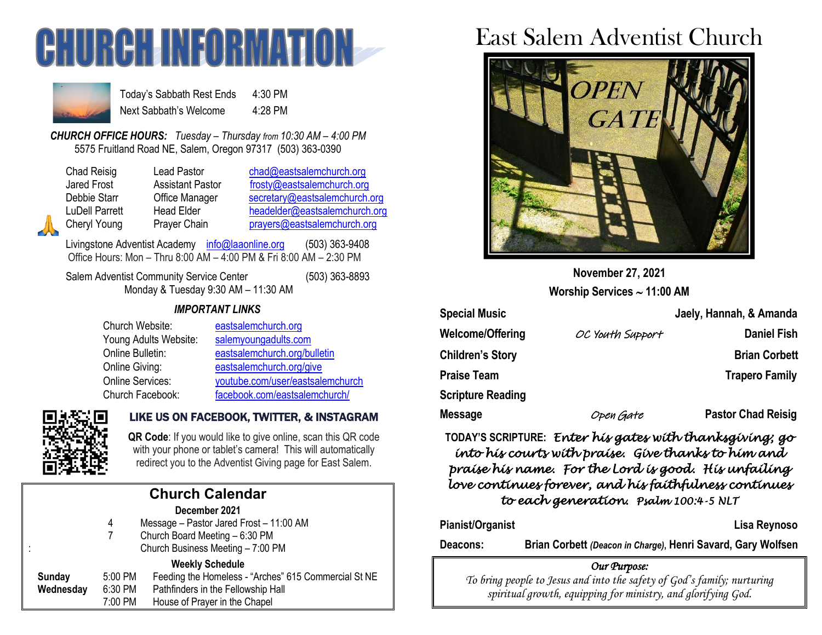



Today's Sabbath Rest Ends 4:30 PM Next Sabbath's Welcome 4:28 PM

*CHURCH OFFICE HOURS: Tuesday – Thursday from 10:30 AM – 4:00 PM* 5575 Fruitland Road NE, Salem, Oregon 97317 (503) 363-0390

Lead Pastor [chad@eastsalemchurch.org](mailto:chad@eastsalemchurch.org) Assistant Pastor [frosty@eastsalemchurch.org](mailto:frosty@eastsalemchurch.org) Office Manager [secretary@eastsalemchurch.org](mailto:secretary@eastsalemchurch.org) Head Elder [headelder@eastsalemchurch.org](mailto:headelder@eastsalemchurch.org) Prayer Chain [prayers@eastsalemchurch.org](mailto:prayers@eastsalemchurch.org)

Livingstone Adventist Academy [info@laaonline.org](mailto:info@laaonline.org) (503) 363-9408 Office Hours: Mon – Thru 8:00 AM – 4:00 PM & Fri 8:00 AM – 2:30 PM

Salem Adventist Community Service Center (503) 363-8893 Monday & Tuesday 9:30 AM – 11:30 AM

## *IMPORTANT LINKS*

| Church Website:         | eastsalemchurch.org              |
|-------------------------|----------------------------------|
| Young Adults Website:   | salemyoungadults.com             |
| Online Bulletin:        | eastsalemchurch.org/bulletin     |
| Online Giving:          | eastsalemchurch.org/give         |
| <b>Online Services:</b> | youtube.com/user/eastsalemchurch |
| Church Facebook:        | facebook.com/eastsalemchurch/    |



## LIKE US ON FACEBOOK, TWITTER, & INSTAGRAM

**QR Code**: If you would like to give online, scan this QR code with your phone or tablet's camera! This will automatically redirect you to the Adventist Giving page for East Salem.

|                        | <b>Church Calendar</b> |         |                                                      |  |  |  |
|------------------------|------------------------|---------|------------------------------------------------------|--|--|--|
| December 2021          |                        |         |                                                      |  |  |  |
|                        |                        | 4       | Message - Pastor Jared Frost - 11:00 AM              |  |  |  |
|                        |                        | 7       | Church Board Meeting - 6:30 PM                       |  |  |  |
| :                      |                        |         | Church Business Meeting - 7:00 PM                    |  |  |  |
| <b>Weekly Schedule</b> |                        |         |                                                      |  |  |  |
|                        | Sunday                 | 5:00 PM | Feeding the Homeless - "Arches" 615 Commercial St NE |  |  |  |
|                        | Wednesday              | 6:30 PM | Pathfinders in the Fellowship Hall                   |  |  |  |
|                        |                        |         |                                                      |  |  |  |

#### 7:00 PM House of Prayer in the Chapel

# East Salem Adventist Church



**November 27, 2021 Worship Services 11:00 AM**

| <b>Special Music</b>     |                  | Jaely, Hannah, & Amanda   |
|--------------------------|------------------|---------------------------|
| Welcome/Offering         | OC Youth Support | <b>Daniel Fish</b>        |
| <b>Children's Story</b>  |                  | <b>Brian Corbett</b>      |
| Praise Team              |                  | <b>Trapero Family</b>     |
| <b>Scripture Reading</b> |                  |                           |
| Message                  | Open Gate        | <b>Pastor Chad Reisig</b> |

**TODAY'S SCRIPTURE:** *Enter his gates with thanksgiving; go into his courts with praise. Give thanks to him and praise his name. For the Lord is good. His unfailing love continues forever, and his faithfulness continues to each generation. Psalm 100:4-5 NLT* 

**Pianist/Organist Lisa Reynoso**

**Deacons: Brian Corbett** *(Deacon in Charge)***, Henri Savard, Gary Wolfsen**

#### *Our Purpose:*

*To bring people to Jesus and into the safety of God's family; nurturing spiritual growth, equipping for ministry, and glorifying God.*